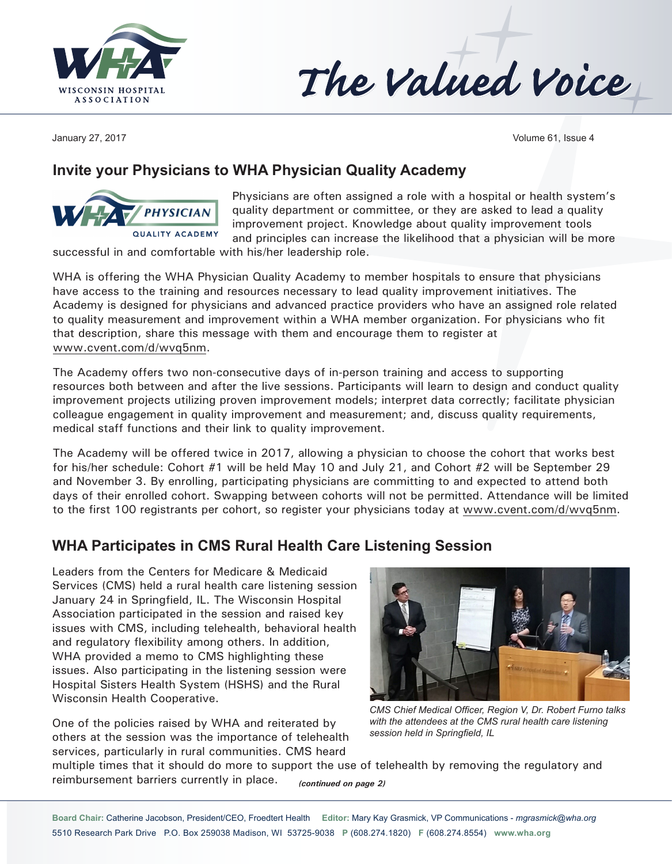

The Valued Voice

January 27, 2017 Volume 61, Issue 4

### **Invite your Physicians to WHA Physician Quality Academy**



Physicians are often assigned a role with a hospital or health system's quality department or committee, or they are asked to lead a quality improvement project. Knowledge about quality improvement tools and principles can increase the likelihood that a physician will be more

successful in and comfortable with his/her leadership role.

WHA is offering the WHA Physician Quality Academy to member hospitals to ensure that physicians have access to the training and resources necessary to lead quality improvement initiatives. The Academy is designed for physicians and advanced practice providers who have an assigned role related to quality measurement and improvement within a WHA member organization. For physicians who fit that description, share this message with them and encourage them to register at [www.cvent.com/d/wvq5](http://www.cvent.com/d/wvq)nm.

The Academy offers two non-consecutive days of in-person training and access to supporting resources both between and after the live sessions. Participants will learn to design and conduct quality improvement projects utilizing proven improvement models; interpret data correctly; facilitate physician colleague engagement in quality improvement and measurement; and, discuss quality requirements, medical staff functions and their link to quality improvement.

The Academy will be offered twice in 2017, allowing a physician to choose the cohort that works best for his/her schedule: Cohort #1 will be held May 10 and July 21, and Cohort #2 will be September 29 and November 3. By enrolling, participating physicians are committing to and expected to attend both days of their enrolled cohort. Swapping between cohorts will not be permitted. Attendance will be limited to the first 100 registrants per cohort, so register your physicians today at [www.cvent.com/d/wvq](http://www.cvent.com/d/wvq)5nm.

### **WHA Participates in CMS Rural Health Care Listening Session**

Leaders from the Centers for Medicare & Medicaid Services (CMS) held a rural health care listening session January 24 in Springfield, IL. The Wisconsin Hospital Association participated in the session and raised key issues with CMS, including telehealth, behavioral health and regulatory flexibility among others. In addition, WHA provided a memo to CMS highlighting these issues. Also participating in the listening session were Hospital Sisters Health System (HSHS) and the Rural Wisconsin Health Cooperative.

One of the policies raised by WHA and reiterated by others at the session was the importance of telehealth services, particularly in rural communities. CMS heard



*CMS Chief Medical Officer, Region V, Dr. Robert Furno talks with the attendees at the CMS rural health care listening session held in Springfield, IL*

multiple times that it should do more to support the use of telehealth by removing the regulatory and reimbursement barriers currently in place. *(continued on page 2)*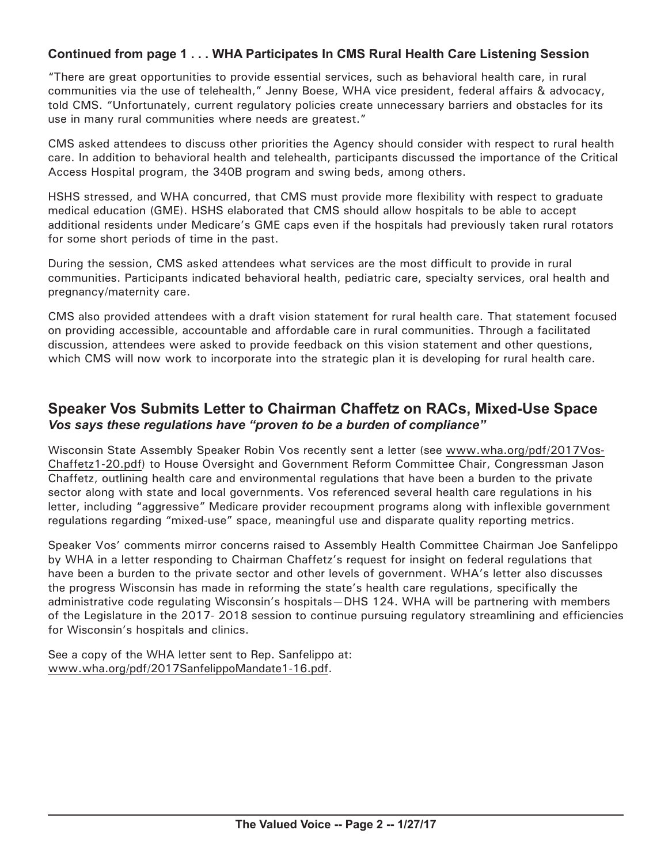#### **Continued from page 1 . . . WHA Participates In CMS Rural Health Care Listening Session**

"There are great opportunities to provide essential services, such as behavioral health care, in rural communities via the use of telehealth," Jenny Boese, WHA vice president, federal affairs & advocacy, told CMS. "Unfortunately, current regulatory policies create unnecessary barriers and obstacles for its use in many rural communities where needs are greatest."

CMS asked attendees to discuss other priorities the Agency should consider with respect to rural health care. In addition to behavioral health and telehealth, participants discussed the importance of the Critical Access Hospital program, the 340B program and swing beds, among others.

HSHS stressed, and WHA concurred, that CMS must provide more flexibility with respect to graduate medical education (GME). HSHS elaborated that CMS should allow hospitals to be able to accept additional residents under Medicare's GME caps even if the hospitals had previously taken rural rotators for some short periods of time in the past.

During the session, CMS asked attendees what services are the most difficult to provide in rural communities. Participants indicated behavioral health, pediatric care, specialty services, oral health and pregnancy/maternity care.

CMS also provided attendees with a draft vision statement for rural health care. That statement focused on providing accessible, accountable and affordable care in rural communities. Through a facilitated discussion, attendees were asked to provide feedback on this vision statement and other questions, which CMS will now work to incorporate into the strategic plan it is developing for rural health care.

#### **Speaker Vos Submits Letter to Chairman Chaffetz on RACs, Mixed-Use Space** *Vos says these regulations have "proven to be a burden of compliance"*

Wisconsin State Assembly Speaker Robin Vos recently sent a letter (see [www.wha.org/pdf/2017Vos-](http://www.wha.org/pdf/2017Vos-Chaffetz1-20.pdf)[Chaffetz1-20.pdf\)](http://www.wha.org/pdf/2017Vos-Chaffetz1-20.pdf) to House Oversight and Government Reform Committee Chair, Congressman Jason Chaffetz, outlining health care and environmental regulations that have been a burden to the private sector along with state and local governments. Vos referenced several health care regulations in his letter, including "aggressive" Medicare provider recoupment programs along with inflexible government regulations regarding "mixed-use" space, meaningful use and disparate quality reporting metrics.

Speaker Vos' comments mirror concerns raised to Assembly Health Committee Chairman Joe Sanfelippo by WHA in a letter responding to Chairman Chaffetz's request for insight on federal regulations that have been a burden to the private sector and other levels of government. WHA's letter also discusses the progress Wisconsin has made in reforming the state's health care regulations, specifically the administrative code regulating Wisconsin's hospitals—DHS 124. WHA will be partnering with members of the Legislature in the 2017- 2018 session to continue pursuing regulatory streamlining and efficiencies for Wisconsin's hospitals and clinics.

See a copy of the WHA letter sent to Rep. Sanfelippo at: [www.wha.org/pdf/2017SanfelippoMandate1-16.pdf.](http://www.wha.org/pdf/2017SanfelippoMandate1-16.pdf)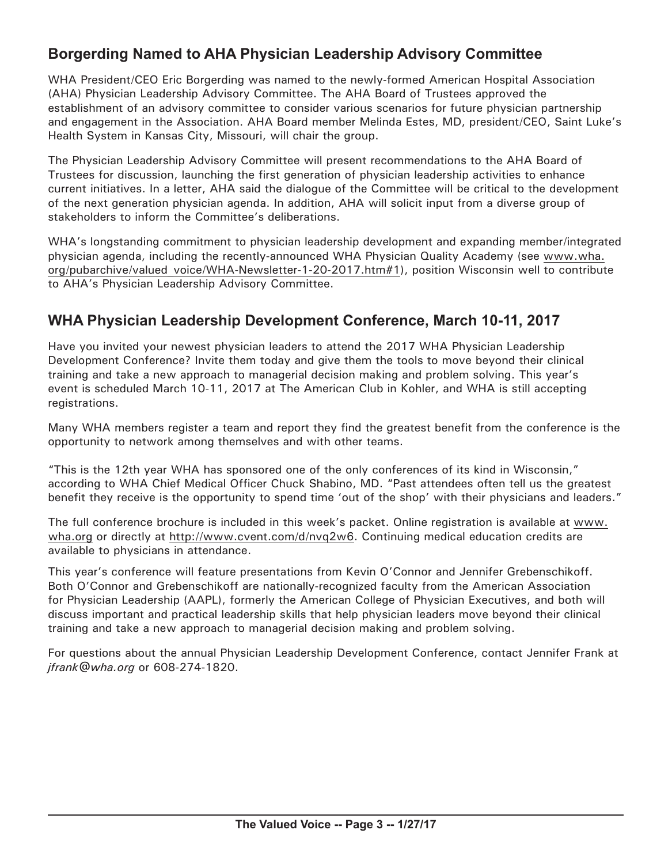## **Borgerding Named to AHA Physician Leadership Advisory Committee**

WHA President/CEO Eric Borgerding was named to the newly-formed American Hospital Association (AHA) Physician Leadership Advisory Committee. The AHA Board of Trustees approved the establishment of an advisory committee to consider various scenarios for future physician partnership and engagement in the Association. AHA Board member Melinda Estes, MD, president/CEO, Saint Luke's Health System in Kansas City, Missouri, will chair the group.

The Physician Leadership Advisory Committee will present recommendations to the AHA Board of Trustees for discussion, launching the first generation of physician leadership activities to enhance current initiatives. In a letter, AHA said the dialogue of the Committee will be critical to the development of the next generation physician agenda. In addition, AHA will solicit input from a diverse group of stakeholders to inform the Committee's deliberations.

WHA's longstanding commitment to physician leadership development and expanding member/integrated physician agenda, including the recently-announced WHA Physician Quality Academy (see [www.wha.](http://www.wha.org/pubarchive/valued_voice/WHA-Newsletter-1-20-2017.htm#1) [org/pubarchive/valued\\_voice/WHA-Newsletter-1-20-2017.htm#](http://www.wha.org/pubarchive/valued_voice/WHA-Newsletter-1-20-2017.htm#1)1), position Wisconsin well to contribute to AHA's Physician Leadership Advisory Committee.

## **WHA Physician Leadership Development Conference, March 10-11, 2017**

Have you invited your newest physician leaders to attend the 2017 WHA Physician Leadership Development Conference? Invite them today and give them the tools to move beyond their clinical training and take a new approach to managerial decision making and problem solving. This year's event is scheduled March 10-11, 2017 at The American Club in Kohler, and WHA is still accepting registrations.

Many WHA members register a team and report they find the greatest benefit from the conference is the opportunity to network among themselves and with other teams.

"This is the 12th year WHA has sponsored one of the only conferences of its kind in Wisconsin," according to WHA Chief Medical Officer Chuck Shabino, MD. "Past attendees often tell us the greatest benefit they receive is the opportunity to spend time 'out of the shop' with their physicians and leaders."

The full conference brochure is included in this week's packet. Online registration is available at [www.](http://www.wha.org) [wha.org](http://www.wha.org) or directly at [http://www.cvent.com/d/nvq2w6.](http://www.cvent.com/d/nvq2w6) Continuing medical education credits are available to physicians in attendance.

This year's conference will feature presentations from Kevin O'Connor and Jennifer Grebenschikoff. Both O'Connor and Grebenschikoff are nationally-recognized faculty from the American Association for Physician Leadership (AAPL), formerly the American College of Physician Executives, and both will discuss important and practical leadership skills that help physician leaders move beyond their clinical training and take a new approach to managerial decision making and problem solving.

For questions about the annual Physician Leadership Development Conference, contact Jennifer Frank at *[jfrank@wha.org](mailto:jfrank@wha.org)* or 608-274-1820.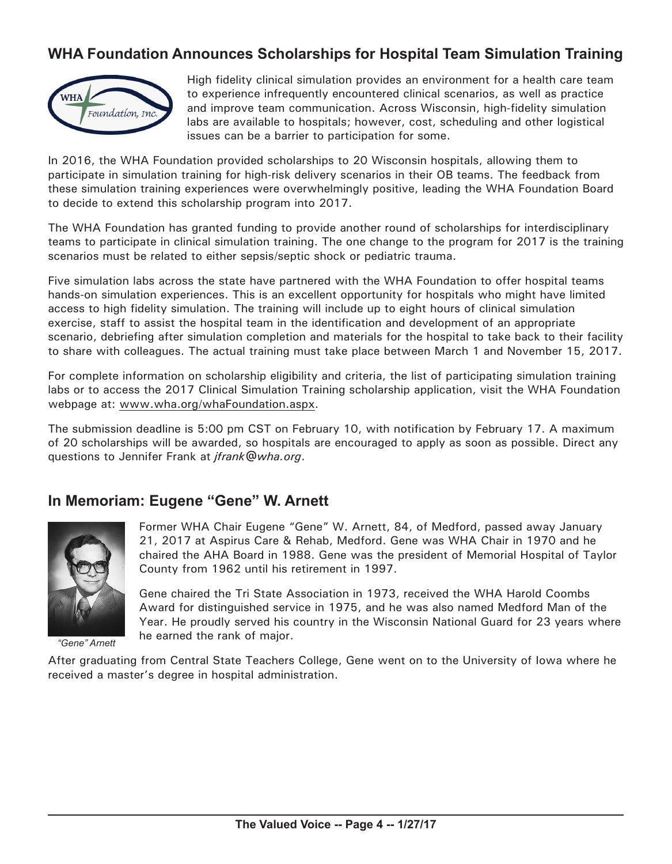## **WHA Foundation Announces Scholarships for Hospital Team Simulation Training**



High fidelity clinical simulation provides an environment for a health care team to experience infrequently encountered clinical scenarios, as well as practice and improve team communication. Across Wisconsin, high-fidelity simulation labs are available to hospitals; however, cost, scheduling and other logistical issues can be a barrier to participation for some.

In 2016, the WHA Foundation provided scholarships to 20 Wisconsin hospitals, allowing them to participate in simulation training for high-risk delivery scenarios in their OB teams. The feedback from these simulation training experiences were overwhelmingly positive, leading the WHA Foundation Board to decide to extend this scholarship program into 2017.

The WHA Foundation has granted funding to provide another round of scholarships for interdisciplinary teams to participate in clinical simulation training. The one change to the program for 2017 is the training scenarios must be related to either sepsis/septic shock or pediatric trauma.

Five simulation labs across the state have partnered with the WHA Foundation to offer hospital teams hands-on simulation experiences. This is an excellent opportunity for hospitals who might have limited access to high fidelity simulation. The training will include up to eight hours of clinical simulation exercise, staff to assist the hospital team in the identification and development of an appropriate scenario, debriefing after simulation completion and materials for the hospital to take back to their facility to share with colleagues. The actual training must take place between March 1 and November 15, 2017.

For complete information on scholarship eligibility and criteria, the list of participating simulation training labs or to access the 2017 Clinical Simulation Training scholarship application, visit the WHA Foundation webpage at: [www.wha.org/whaFoundation.aspx](http://www.wha.org/whaFoundation.aspx).

The submission deadline is 5:00 pm CST on February 10, with notification by February 17. A maximum of 20 scholarships will be awarded, so hospitals are encouraged to apply as soon as possible. Direct any questions to Jennifer Frank at *[jfrank@wha.org](mailto:jfrank@wha.org)*.

#### **In Memoriam: Eugene "Gene" W. Arnett**



*"Gene" Arnett*

Former WHA Chair Eugene "Gene" W. Arnett, 84, of Medford, passed away January 21, 2017 at Aspirus Care & Rehab, Medford. Gene was WHA Chair in 1970 and he chaired the AHA Board in 1988. Gene was the president of Memorial Hospital of Taylor County from 1962 until his retirement in 1997.

Gene chaired the Tri State Association in 1973, received the WHA Harold Coombs Award for distinguished service in 1975, and he was also named Medford Man of the Year. He proudly served his country in the Wisconsin National Guard for 23 years where he earned the rank of major.

After graduating from Central State Teachers College, Gene went on to the University of Iowa where he received a master's degree in hospital administration.